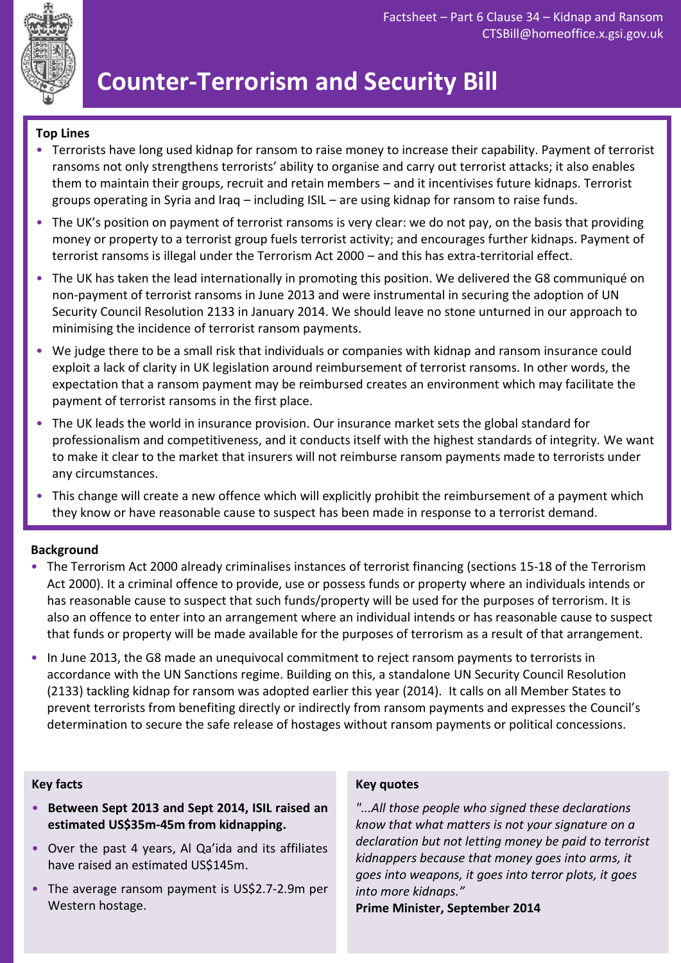

# **Counter-Terrorism and Security Bill**

#### **Top Lines**

- Terrorists have long used kidnap for ransom to raise money to increase their capability. Payment of terrorist ransoms not only strengthens terrorists' ability to organise and carry out terrorist attacks; it also enables them to maintain their groups, recruit and retain members – and it incentivises future kidnaps. Terrorist groups operating in Syria and Iraq – including ISIL – are using kidnap for ransom to raise funds.
- The UK's position on payment of terrorist ransoms is very clear: we do not pay, on the basis that providing money or property to a terrorist group fuels terrorist activity; and encourages further kidnaps. Payment of terrorist ransoms is illegal under the Terrorism Act 2000 – and this has extra-territorial effect.
- The UK has taken the lead internationally in promoting this position. We delivered the G8 communiqué on non-payment of terrorist ransoms in June 2013 and were instrumental in securing the adoption of UN Security Council Resolution 2133 in January 2014. We should leave no stone unturned in our approach to minimising the incidence of terrorist ransom payments.
- We judge there to be a small risk that individuals or companies with kidnap and ransom insurance could exploit a lack of clarity in UK legislation around reimbursement of terrorist ransoms. In other words, the expectation that a ransom payment may be reimbursed creates an environment which may facilitate the payment of terrorist ransoms in the first place.
- The UK leads the world in insurance provision. Our insurance market sets the global standard for professionalism and competitiveness, and it conducts itself with the highest standards of integrity. We want to make it clear to the market that insurers will not reimburse ransom payments made to terrorists under any circumstances.
- This change will create a new offence which will explicitly prohibit the reimbursement of a payment which they know or have reasonable cause to suspect has been made in response to a terrorist demand.

#### **Background**

- The Terrorism Act 2000 already criminalises instances of terrorist financing (sections 15-18 of the Terrorism Act 2000). It a criminal offence to provide, use or possess funds or property where an individuals intends or has reasonable cause to suspect that such funds/property will be used for the purposes of terrorism. It is also an offence to enter into an arrangement where an individual intends or has reasonable cause to suspect that funds or property will be made available for the purposes of terrorism as a result of that arrangement.
- In June 2013, the G8 made an unequivocal commitment to reject ransom payments to terrorists in accordance with the UN Sanctions regime. Building on this, a standalone UN Security Council Resolution (2133) tackling kidnap for ransom was adopted earlier this year (2014). It calls on all Member States to prevent terrorists from benefiting directly or indirectly from ransom payments and expresses the Council's determination to secure the safe release of hostages without ransom payments or political concessions.

#### **Key facts**

- **Between Sept 2013 and Sept 2014, ISIL raised an estimated US\$35m-45m from kidnapping.**
- Over the past 4 years, Al Qa'ida and its affiliates have raised an estimated US\$145m.
- The average ransom payment is US\$2.7-2.9m per Western hostage.

#### **Key quotes**

*"...All those people who signed these declarations know that what matters is not your signature on a declaration but not letting money be paid to terrorist kidnappers because that money goes into arms, it goes into weapons, it goes into terror plots, it goes into more kidnaps."*

**Prime Minister, September 2014**